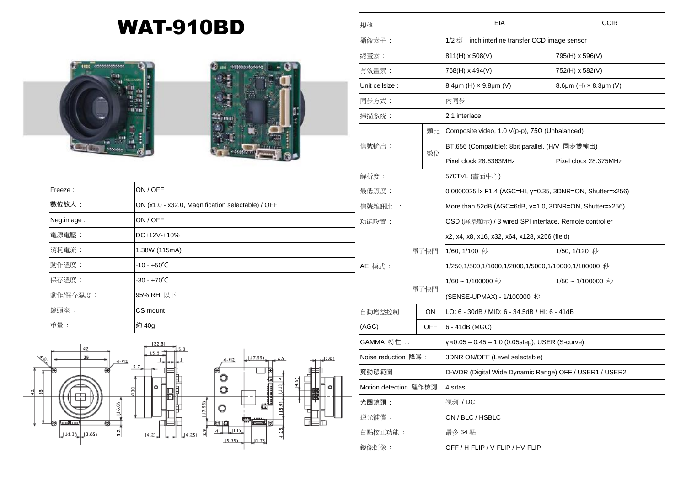## WAT-910BD





| Freeze:    | ON / OFF                                          | 最              |
|------------|---------------------------------------------------|----------------|
| 數位放大:      | ON (x1.0 - x32.0, Magnification selectable) / OFF | 信              |
| Neg.image: | ON / OFF                                          | 功              |
| 電源電壓:      | $DC+12V+10%$                                      |                |
| 消耗電流:      | 1.38W (115mA)                                     |                |
| 動作溫度:      | $-10 - +50^{\circ}C$                              | $\overline{A}$ |
| 保存溫度:      | $-30 - +70^{\circ}C$                              |                |
| 動作/保存濕度:   | 95% RH 以下                                         |                |
| 鏡頭座:       | CS mount                                          | É              |
| 重量:        | 約 40g                                             | (              |



| inch interline transfer CCD image sensor<br>1/2 型<br>811(H) x 508(V)<br>795(H) x 596(V)<br>768(H) x 494(V)<br>752(H) x 582(V)<br>8.4 $\mu$ m (H) × 9.8 $\mu$ m (V)<br>8.6µm (H) $\times$ 8.3µm (V)<br>内同步<br>2:1 interlace<br>類比<br>Composite video, 1.0 $V(p-p)$ , 75 $\Omega$ (Unbalanced)<br>BT.656 (Compatible): 8bit parallel, (H/V 同步雙輸出)<br>數位<br>Pixel clock 28.6363MHz<br>Pixel clock 28.375MHz<br>570TVL (畫面中心)<br>0.0000025 lx F1.4 (AGC=HI, γ=0.35, 3DNR=ON, Shutter=x256)<br>More than 52dB (AGC=6dB, $y=1.0$ , 3DNR=ON, Shutter=x256)<br>OSD (屏幕顯示) / 3 wired SPI interface, Remote controller<br>x2, x4, x8, x16, x32, x64, x128, x256 (fleld)<br>1/50, 1/120 秒<br>電子快門<br>1/60, 1/100 秒<br>1/250,1/500,1/1000,1/2000,1/5000,1/10000,1/100000 秒<br>1/60~1/100000秒<br>1/50~1/100000 秒<br>電子快門<br>(SENSE-UPMAX) - 1/100000 秒<br><b>ON</b><br>LO: 6 - 30dB / MID: 6 - 34.5dB / HI: 6 - 41dB<br><b>OFF</b><br>6 - 41dB (MGC)<br>$y=0.05 - 0.45 - 1.0$ (0.05step), USER (S-curve)<br>3DNR ON/OFF (Level selectable)<br>D-WDR (Digital Wide Dynamic Range) OFF / USER1 / USER2<br>4 srtas<br>視頻 / DC<br>ON / BLC / HSBLC | 規格                    |  |  | EIA | <b>CCIR</b> |  |
|-----------------------------------------------------------------------------------------------------------------------------------------------------------------------------------------------------------------------------------------------------------------------------------------------------------------------------------------------------------------------------------------------------------------------------------------------------------------------------------------------------------------------------------------------------------------------------------------------------------------------------------------------------------------------------------------------------------------------------------------------------------------------------------------------------------------------------------------------------------------------------------------------------------------------------------------------------------------------------------------------------------------------------------------------------------------------------------------------------------------------------------|-----------------------|--|--|-----|-------------|--|
|                                                                                                                                                                                                                                                                                                                                                                                                                                                                                                                                                                                                                                                                                                                                                                                                                                                                                                                                                                                                                                                                                                                                   | 攝像素子:                 |  |  |     |             |  |
|                                                                                                                                                                                                                                                                                                                                                                                                                                                                                                                                                                                                                                                                                                                                                                                                                                                                                                                                                                                                                                                                                                                                   | 總畫素:                  |  |  |     |             |  |
|                                                                                                                                                                                                                                                                                                                                                                                                                                                                                                                                                                                                                                                                                                                                                                                                                                                                                                                                                                                                                                                                                                                                   | 有效畫素:                 |  |  |     |             |  |
|                                                                                                                                                                                                                                                                                                                                                                                                                                                                                                                                                                                                                                                                                                                                                                                                                                                                                                                                                                                                                                                                                                                                   | Unit cellsize:        |  |  |     |             |  |
|                                                                                                                                                                                                                                                                                                                                                                                                                                                                                                                                                                                                                                                                                                                                                                                                                                                                                                                                                                                                                                                                                                                                   | 同步方式:                 |  |  |     |             |  |
|                                                                                                                                                                                                                                                                                                                                                                                                                                                                                                                                                                                                                                                                                                                                                                                                                                                                                                                                                                                                                                                                                                                                   | 掃描系統:                 |  |  |     |             |  |
|                                                                                                                                                                                                                                                                                                                                                                                                                                                                                                                                                                                                                                                                                                                                                                                                                                                                                                                                                                                                                                                                                                                                   | 信號輸出:                 |  |  |     |             |  |
|                                                                                                                                                                                                                                                                                                                                                                                                                                                                                                                                                                                                                                                                                                                                                                                                                                                                                                                                                                                                                                                                                                                                   |                       |  |  |     |             |  |
|                                                                                                                                                                                                                                                                                                                                                                                                                                                                                                                                                                                                                                                                                                                                                                                                                                                                                                                                                                                                                                                                                                                                   |                       |  |  |     |             |  |
|                                                                                                                                                                                                                                                                                                                                                                                                                                                                                                                                                                                                                                                                                                                                                                                                                                                                                                                                                                                                                                                                                                                                   | 解析度:                  |  |  |     |             |  |
|                                                                                                                                                                                                                                                                                                                                                                                                                                                                                                                                                                                                                                                                                                                                                                                                                                                                                                                                                                                                                                                                                                                                   | 最低照度:                 |  |  |     |             |  |
|                                                                                                                                                                                                                                                                                                                                                                                                                                                                                                                                                                                                                                                                                                                                                                                                                                                                                                                                                                                                                                                                                                                                   | 信號雜訊比 ::              |  |  |     |             |  |
|                                                                                                                                                                                                                                                                                                                                                                                                                                                                                                                                                                                                                                                                                                                                                                                                                                                                                                                                                                                                                                                                                                                                   | 功能設置:                 |  |  |     |             |  |
|                                                                                                                                                                                                                                                                                                                                                                                                                                                                                                                                                                                                                                                                                                                                                                                                                                                                                                                                                                                                                                                                                                                                   |                       |  |  |     |             |  |
|                                                                                                                                                                                                                                                                                                                                                                                                                                                                                                                                                                                                                                                                                                                                                                                                                                                                                                                                                                                                                                                                                                                                   |                       |  |  |     |             |  |
|                                                                                                                                                                                                                                                                                                                                                                                                                                                                                                                                                                                                                                                                                                                                                                                                                                                                                                                                                                                                                                                                                                                                   | AE 模式 :               |  |  |     |             |  |
|                                                                                                                                                                                                                                                                                                                                                                                                                                                                                                                                                                                                                                                                                                                                                                                                                                                                                                                                                                                                                                                                                                                                   |                       |  |  |     |             |  |
|                                                                                                                                                                                                                                                                                                                                                                                                                                                                                                                                                                                                                                                                                                                                                                                                                                                                                                                                                                                                                                                                                                                                   |                       |  |  |     |             |  |
|                                                                                                                                                                                                                                                                                                                                                                                                                                                                                                                                                                                                                                                                                                                                                                                                                                                                                                                                                                                                                                                                                                                                   | 自動增益控制                |  |  |     |             |  |
|                                                                                                                                                                                                                                                                                                                                                                                                                                                                                                                                                                                                                                                                                                                                                                                                                                                                                                                                                                                                                                                                                                                                   | (AGC)                 |  |  |     |             |  |
|                                                                                                                                                                                                                                                                                                                                                                                                                                                                                                                                                                                                                                                                                                                                                                                                                                                                                                                                                                                                                                                                                                                                   | GAMMA 特性::            |  |  |     |             |  |
|                                                                                                                                                                                                                                                                                                                                                                                                                                                                                                                                                                                                                                                                                                                                                                                                                                                                                                                                                                                                                                                                                                                                   | Noise reduction 降噪:   |  |  |     |             |  |
|                                                                                                                                                                                                                                                                                                                                                                                                                                                                                                                                                                                                                                                                                                                                                                                                                                                                                                                                                                                                                                                                                                                                   | 寬動態範圍:                |  |  |     |             |  |
|                                                                                                                                                                                                                                                                                                                                                                                                                                                                                                                                                                                                                                                                                                                                                                                                                                                                                                                                                                                                                                                                                                                                   | Motion detection 運作檢測 |  |  |     |             |  |
|                                                                                                                                                                                                                                                                                                                                                                                                                                                                                                                                                                                                                                                                                                                                                                                                                                                                                                                                                                                                                                                                                                                                   | 光圈鏡頭:                 |  |  |     |             |  |
|                                                                                                                                                                                                                                                                                                                                                                                                                                                                                                                                                                                                                                                                                                                                                                                                                                                                                                                                                                                                                                                                                                                                   | 逆光補償:                 |  |  |     |             |  |
| 白點校正功能:<br>最多 64 點                                                                                                                                                                                                                                                                                                                                                                                                                                                                                                                                                                                                                                                                                                                                                                                                                                                                                                                                                                                                                                                                                                                |                       |  |  |     |             |  |
| OFF / H-FLIP / V-FLIP / HV-FLIP                                                                                                                                                                                                                                                                                                                                                                                                                                                                                                                                                                                                                                                                                                                                                                                                                                                                                                                                                                                                                                                                                                   | 鏡像倒像:                 |  |  |     |             |  |